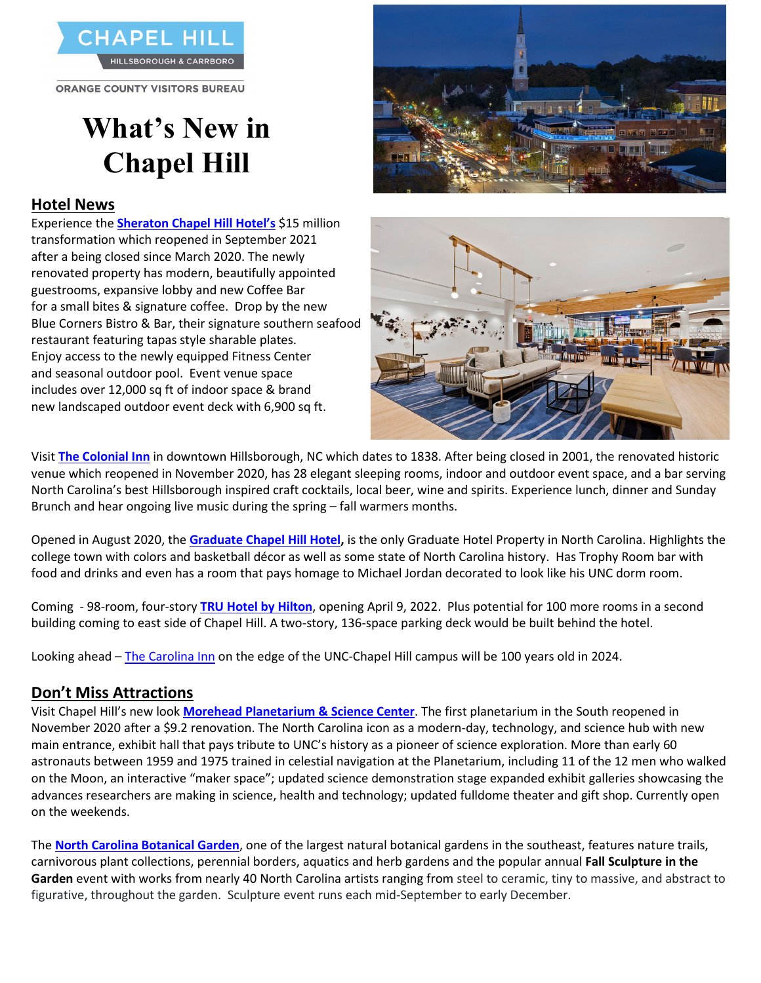

**ORANGE COUNTY VISITORS BUREAU** 

# **What's New in Chapel Hill**

#### **Hotel News**

Experience the **[Sheraton Chapel Hill Hotel's](https://www.marriott.com/hotels/travel/rdusc-sheraton-chapel-hill-hotel/)** \$15 million transformation which reopened in September 2021 after a being closed since March 2020. The newly renovated property has modern, beautifully appointed guestrooms, expansive lobby and new Coffee Bar for a small bites & signature coffee. Drop by the new Blue Corners Bistro & Bar, their signature southern seafood restaurant featuring tapas style sharable plates. Enjoy access to the newly equipped Fitness Center and seasonal outdoor pool. Event venue space includes over 12,000 sq ft of indoor space & brand new landscaped outdoor event deck with 6,900 sq ft.





Visit **[The Colonial Inn](https://colonialinn-nc.com/)** in downtown Hillsborough, NC which dates to 1838. After being closed in 2001, the renovated historic venue which reopened in November 2020, has 28 elegant sleeping rooms, indoor and outdoor event space, and a bar serving North Carolina's best Hillsborough inspired craft cocktails, local beer, wine and spirits. Experience lunch, dinner and Sunday Brunch and hear ongoing live music during the spring – fall warmers months.

Opened in August 2020, the **[Graduate Chapel Hill Hotel,](https://www.graduatehotels.com/)** is the only Graduate Hotel Property in North Carolina. Highlights the college town with colors and basketball décor as well as some state of North Carolina history. Has Trophy Room bar with food and drinks and even has a room that pays homage to Michael Jordan decorated to look like his UNC dorm room.

Coming - 98-room, four-story **[TRU Hotel by Hilton](https://www.hilton.com/en/hotels/rduceru-tru-chapel-hill/)**, opening April 9, 2022. Plus potential for 100 more rooms in a second building coming to east side of Chapel Hill. A two-story, 136-space parking deck would be built behind the hotel.

Looking ahead – [The Carolina Inn](https://www.destinationhotels.com/carolina-inn) on the edge of the UNC-Chapel Hill campus will be 100 years old in 2024.

### **Don't Miss Attractions**

Visit Chapel Hill's new look **[Morehead Planetarium & Science Center](https://moreheadplanetarium.org/)**. The first planetarium in the South reopened in November 2020 after a \$9.2 renovation. The North Carolina icon as a modern-day, technology, and science hub with new main entrance, exhibit hall that pays tribute to UNC's history as a pioneer of science exploration. More than early 60 astronauts between 1959 and 1975 trained in celestial navigation at the Planetarium, including 11 of the 12 men who walked on the Moon, an interactive "maker space"; updated science demonstration stage expanded exhibit galleries showcasing the advances researchers are making in science, health and technology; updated fulldome theater and gift shop. Currently open on the weekends.

The **[North Carolina Botanical](https://ncbg.unc.edu/) Garden**, one of the largest natural botanical gardens in the southeast, features nature trails, carnivorous plant collections, perennial borders, aquatics and herb gardens and the popular annual **Fall Sculpture in the Garden** event with works from nearly 40 North Carolina artists ranging from steel to ceramic, tiny to massive, and abstract to figurative, throughout the garden. Sculpture event runs each mid-September to early December.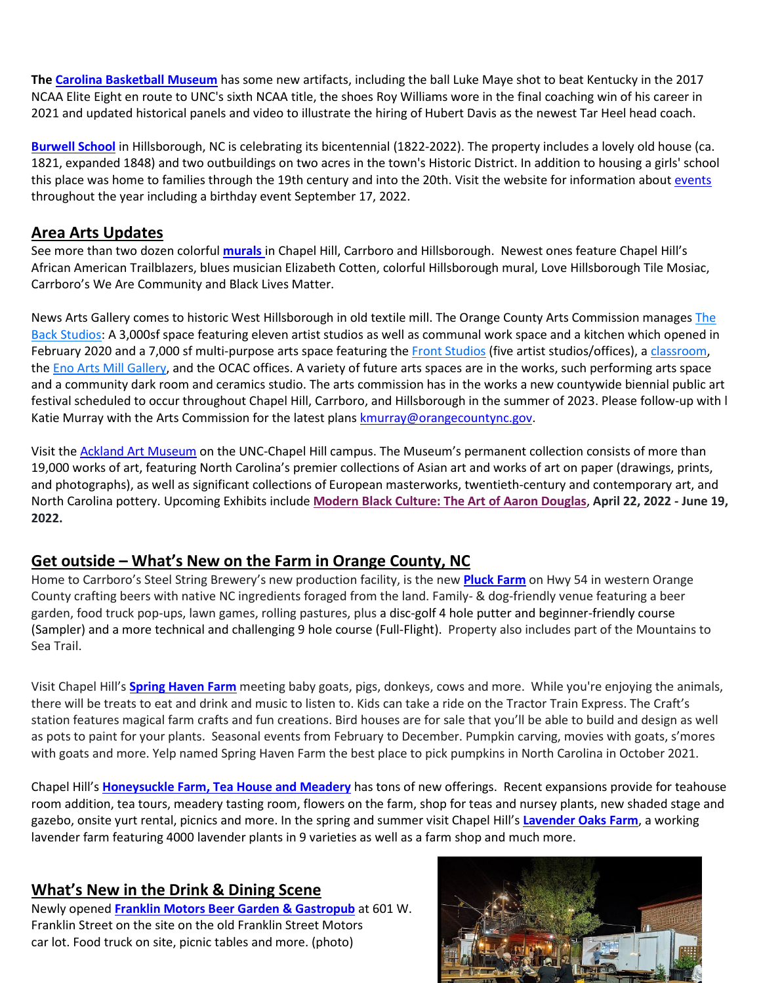**Th[e Carolina Basketball Museum](https://goheels.com/news/2021/5/14/mens-basketball-carolina-basketball-museum-to-reopen-on-june-1.aspx)** has some new artifacts, including the ball Luke Maye shot to beat Kentucky in the 2017 NCAA Elite Eight en route to UNC's sixth NCAA title, the shoes Roy Williams wore in the final coaching win of his career in 2021 and updated historical panels and video to illustrate the hiring of Hubert Davis as the newest Tar Heel head coach.

**[Burwell School](https://burwell-school-historic-site.square.site/)** in Hillsborough, NC is celebrating its bicentennial (1822-2022). The property includes a lovely old house (ca. 1821, expanded 1848) and two outbuildings on two acres in the town's Historic District. In addition to housing a girls' school this place was home to families through the 19th century and into the 20th. Visit the website for information abou[t events](https://www.burwellschool.org/bicentennial-1822-2022)  throughout the year including a birthday event September 17, 2022.

### **Area Arts Updates**

See more than two dozen colorful **[murals](https://www.visitchapelhill.org/blog/post/17-must-see-murals-in-orange-county/)** in Chapel Hill, Carrboro and Hillsborough.Newest ones feature Chapel Hill's African American Trailblazers, blues musician Elizabeth Cotten, colorful Hillsborough mural, Love Hillsborough Tile Mosiac, Carrboro's We Are Community and Black Lives Matter.

News Arts Gallery comes to historic West Hillsborough in old textile mill. The Orange County Arts Commission manage[s The](https://artsorange.org/enomill/eno-arts-mill-studios/)  [Back Studios:](https://artsorange.org/enomill/eno-arts-mill-studios/) A 3,000sf space featuring eleven artist studios as well as communal work space and a kitchen which opened in February 2020 and a 7,000 sf multi-purpose arts space featuring the [Front Studios](https://artsorange.org/enomill/eno-arts-mill-studios/) (five artist studios/offices), a [classroom,](https://artsorange.org/enomill/classes/) the [Eno Arts Mill Gallery,](https://artsorange.org/enomill/openings/) and the OCAC offices. A variety of future arts spaces are in the works, such performing arts space and a community dark room and ceramics studio. The arts commission has in the works a new countywide biennial public art festival scheduled to occur throughout Chapel Hill, Carrboro, and Hillsborough in the summer of 2023. Please follow-up with l Katie Murray with the Arts Commission for the latest plans [kmurray@orangecountync.gov.](mailto:kmurray@orangecountync.gov)

Visit th[e Ackland Art Museum](https://ackland.org/) on the UNC-Chapel Hill campus. The Museum's permanent collection consists of more than 19,000 works of art, featuring North Carolina's premier collections of Asian art and works of art on paper (drawings, prints, and photographs), as well as significant collections of European masterworks, twentieth-century and contemporary art, and North Carolina pottery. Upcoming Exhibits include **[Modern Black Culture: The Art of Aaron Douglas](https://ackland.org/exhibition/modern-black-culture-the-art-of-aaron-douglas/)**, **April 22, 2022 - June 19, 2022.** 

## **Get outside – What's New on the Farm in Orange County, NC**

Home to Carrboro's Steel String Brewery's new production facility, is the new **[Pluck Farm](https://www.facebook.com/PluckFarmNC/)** on Hwy 54 in western Orange County crafting beers with native NC ingredients foraged from the land. Family- & dog-friendly venue featuring a beer garden, food truck pop-ups, lawn games, rolling pastures, plus a disc-golf 4 hole putter and beginner-friendly course (Sampler) and a more technical and challenging 9 hole course (Full-Flight). Property also includes part of the Mountains to Sea Trail.

Visit Chapel Hill's **[Spring Haven Farm](https://www.springhaven.farm/)** meeting baby goats, pigs, donkeys, cows and more. While you're enjoying the animals, there will be treats to eat and drink and music to listen to. Kids can take a ride on the Tractor Train Express. The Craft's station features magical farm crafts and fun creations. Bird houses are for sale that you'll be able to build and design as well as pots to paint for your plants. Seasonal events from February to December. Pumpkin carving, movies with goats, s'mores with goats and more. Yelp named Spring Haven Farm the best place to pick pumpkins in North Carolina in October 2021.

Chapel Hill's **Honeysuckle [Farm, Tea House](https://www.thehoneysuckleteahouse.com/) and Meadery** has tons of new offerings. Recent expansions provide for teahouse room addition, tea tours, meadery tasting room, flowers on the farm, shop for teas and nursey plants, new shaded stage and gazebo, onsite yurt rental, picnics and more. In the spring and summer visit Chapel Hill's **[Lavender Oaks Farm](https://lavenderoaks.farm/)**, a working lavender farm featuring 4000 lavender plants in 9 varieties as well as a farm shop and much more.

## **What's New in the Drink & Dining Scene**

Newly opened **Franklin [Motors Beer Garden](https://www.franklinmotors.net/) & Gastropub** at 601 W. Franklin Street on the site on the old Franklin Street Motors car lot. Food truck on site, picnic tables and more. (photo)